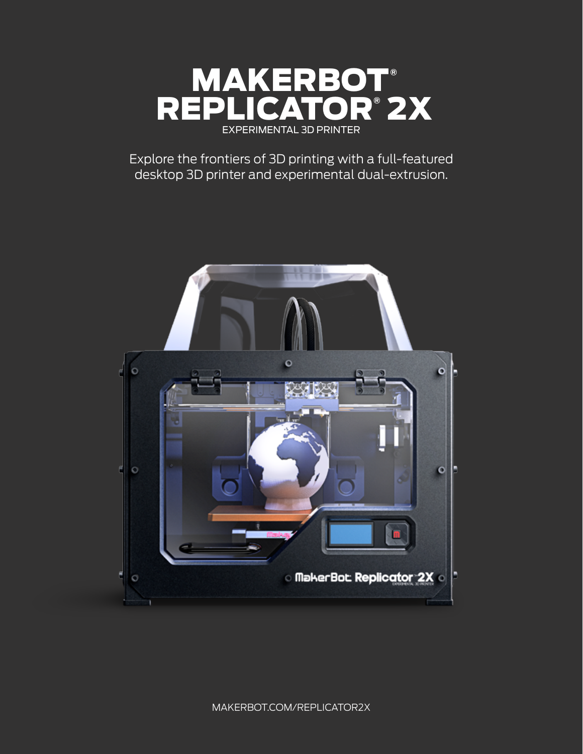

Explore the frontiers of 3D printing with a full-featured desktop 3D printer and experimental dual-extrusion.